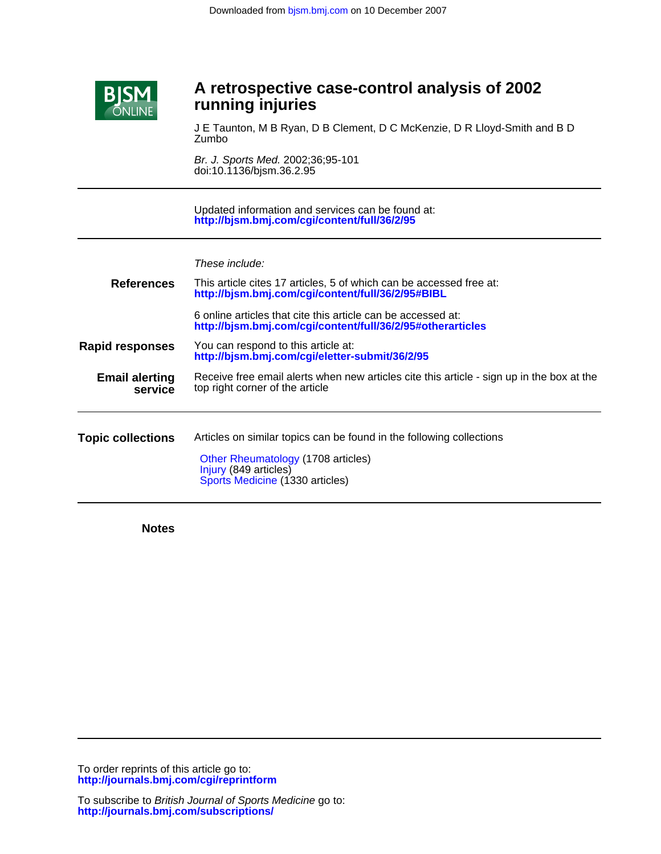

# **running injuries A retrospective case-control analysis of 2002**

Zumbo J E Taunton, M B Ryan, D B Clement, D C McKenzie, D R Lloyd-Smith and B D

doi:10.1136/bjsm.36.2.95 Br. J. Sports Med. 2002;36;95-101

**<http://bjsm.bmj.com/cgi/content/full/36/2/95>** Updated information and services can be found at:

These include:

| <b>References</b>                | This article cites 17 articles, 5 of which can be accessed free at:<br>http://bjsm.bmj.com/cgi/content/full/36/2/95#BIBL                                               |
|----------------------------------|------------------------------------------------------------------------------------------------------------------------------------------------------------------------|
|                                  | 6 online articles that cite this article can be accessed at:<br>http://bism.bmj.com/cgi/content/full/36/2/95#otherarticles                                             |
| <b>Rapid responses</b>           | You can respond to this article at:<br>http://bjsm.bmj.com/cgi/eletter-submit/36/2/95                                                                                  |
| <b>Email alerting</b><br>service | Receive free email alerts when new articles cite this article - sign up in the box at the<br>top right corner of the article                                           |
| <b>Topic collections</b>         | Articles on similar topics can be found in the following collections<br>Other Rheumatology (1708 articles)<br>Injury (849 articles)<br>Sports Medicine (1330 articles) |

**Notes**

**<http://journals.bmj.com/cgi/reprintform>** To order reprints of this article go to: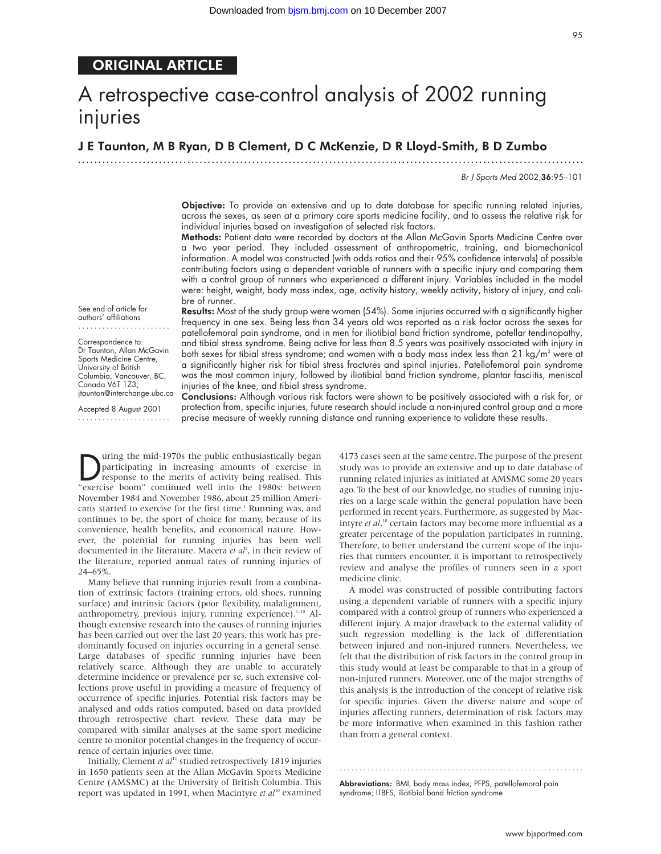# ORIGINAL ARTICLE

# A retrospective case-control analysis of 2002 running injuries

J E Taunton, M B Ryan, D B Clement, D C McKenzie, D R Lloyd-Smith, B D Zumbo

.............................................................................................................................

Br J Sports Med 2002;36:95–101

Objective: To provide an extensive and up to date database for specific running related injuries, across the sexes, as seen at a primary care sports medicine facility, and to assess the relative risk for individual injuries based on investigation of selected risk factors.

Methods: Patient data were recorded by doctors at the Allan McGavin Sports Medicine Centre over a two year period. They included assessment of anthropometric, training, and biomechanical information. A model was constructed (with odds ratios and their 95% confidence intervals) of possible contributing factors using a dependent variable of runners with a specific injury and comparing them with a control group of runners who experienced a different injury. Variables included in the model were: height, weight, body mass index, age, activity history, weekly activity, history of injury, and calibre of runner.

See end of article for authors' affiliations .......................

Correspondence to: Dr Taunton, Allan McGavin Sports Medicine Centre, University of British Columbia, Vancouver, BC, Canada V6T 1Z3; jtaunton@interchange.ubc.ca

Accepted 8 August 2001 .......................

Results: Most of the study group were women (54%). Some injuries occurred with a significantly higher frequency in one sex. Being less than 34 years old was reported as a risk factor across the sexes for patellofemoral pain syndrome, and in men for iliotibial band friction syndrome, patellar tendinopathy, and tibial stress syndrome. Being active for less than 8.5 years was positively associated with injury in both sexes for tibial stress syndrome; and women with a body mass index less than 21 kg/m<sup>2</sup> were at a significantly higher risk for tibial stress fractures and spinal injuries. Patellofemoral pain syndrome was the most common injury, followed by iliotibial band friction syndrome, plantar fasciitis, meniscal injuries of the knee, and tibial stress syndrome.

Conclusions: Although various risk factors were shown to be positively associated with a risk for, or protection from, specific injuries, future research should include a non-injured control group and a more precise measure of weekly running distance and running experience to validate these results.

**During the mid-1970s the public enthusiastically began**<br>**Departicipating in increasing amounts of exercise in**<br>response to the merits of activity being realised. This<br>"exercise boom" continued well into the 1980s: between participating in increasing amounts of exercise in response to the merits of activity being realised. This "exercise boom" continued well into the 1980s: between November 1984 and November 1986, about 25 million Americans started to exercise for the first time.<sup>1</sup> Running was, and continues to be, the sport of choice for many, because of its convenience, health benefits, and economical nature. However, the potential for running injuries has been well documented in the literature. Macera *et al<sup>2</sup>*, in their review of the literature, reported annual rates of running injuries of 24–65%.

Many believe that running injuries result from a combination of extrinsic factors (training errors, old shoes, running surface) and intrinsic factors (poor flexibility, malalignment, anthropometry, previous injury, running experience). $1-10$  Although extensive research into the causes of running injuries has been carried out over the last 20 years, this work has predominantly focused on injuries occurring in a general sense. Large databases of specific running injuries have been relatively scarce. Although they are unable to accurately determine incidence or prevalence per se, such extensive collections prove useful in providing a measure of frequency of occurrence of specific injuries. Potential risk factors may be analysed and odds ratios computed, based on data provided through retrospective chart review. These data may be compared with similar analyses at the same sport medicine centre to monitor potential changes in the frequency of occurrence of certain injuries over time.

Initially, Clement *et al*<sup>11</sup> studied retrospectively 1819 injuries in 1650 patients seen at the Allan McGavin Sports Medicine Centre (AMSMC) at the University of British Columbia. This report was updated in 1991, when Macintyre et al<sup>10</sup> examined

4173 cases seen at the same centre. The purpose of the present study was to provide an extensive and up to date database of running related injuries as initiated at AMSMC some 20 years ago. To the best of our knowledge, no studies of running injuries on a large scale within the general population have been performed in recent years. Furthermore, as suggested by Macintyre *et al*, <sup>10</sup> certain factors may become more influential as a greater percentage of the population participates in running. Therefore, to better understand the current scope of the injuries that runners encounter, it is important to retrospectively review and analyse the profiles of runners seen in a sport medicine clinic.

A model was constructed of possible contributing factors using a dependent variable of runners with a specific injury compared with a control group of runners who experienced a different injury. A major drawback to the external validity of such regression modelling is the lack of differentiation between injured and non-injured runners. Nevertheless, we felt that the distribution of risk factors in the control group in this study would at least be comparable to that in a group of non-injured runners. Moreover, one of the major strengths of this analysis is the introduction of the concept of relative risk for specific injuries. Given the diverse nature and scope of injuries affecting runners, determination of risk factors may be more informative when examined in this fashion rather than from a general context.

Abbreviations: BMI, body mass index; PFPS, patellofemoral pain syndrome; ITBFS, iliotibial band friction syndrome

.............................................................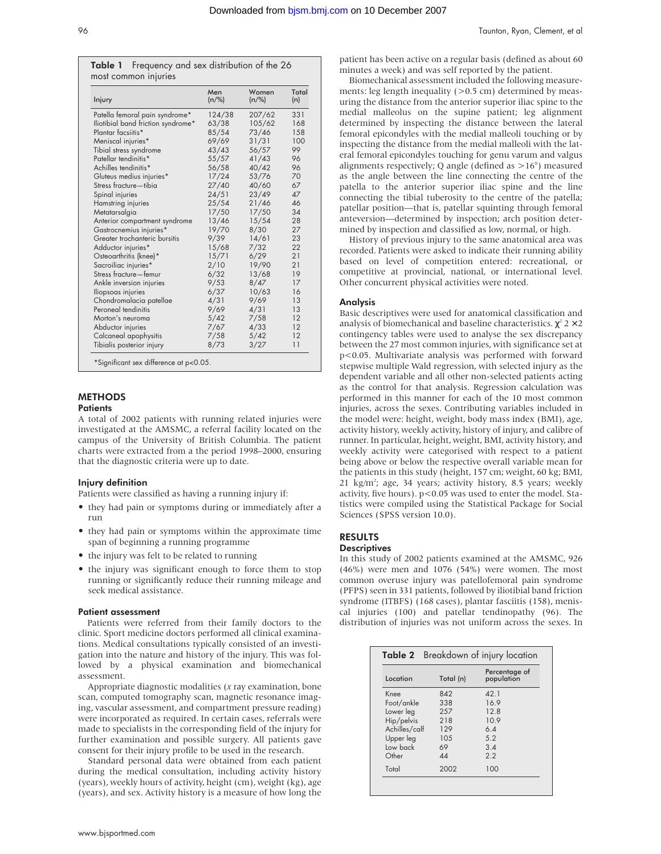96 Taunton, Ryan, Clement, et al

**Table 1** Frequency and sex distribution of the 26 most common injuries

| Injury                             | Men<br>$(n/\%)$ | Women<br>$(n/\%)$ | Total<br>(n) |
|------------------------------------|-----------------|-------------------|--------------|
| Patella femoral pain syndrome*     | 124/38          | 207/62            | 331          |
| lliotibial band friction syndrome* | 63/38           | 105/62            | 168          |
| Plantar facsiitis*                 | 85/54           | 73/46             | 158          |
| Meniscal injuries*                 | 69/69           | 31/31             | 100          |
| Tibial stress syndrome             | 43/43           | 56/57             | 99           |
| Patellar tendinitis*               | 55/57           | 41/43             | 96           |
| Achilles tendinitis*               | 56/58           | 40/42             | 96           |
| Gluteus medius injuries*           | 17/24           | 53/76             | 70           |
| Stress fracture-tibia              | 27/40           | 40/60             | 67           |
| Spinal injuries                    | 24/51           | 23/49             | 47           |
| Hamstring injuries                 | 25/54           | 21/46             | 46           |
| Metatarsalgia                      | 17/50           | 17/50             | 34           |
| Anterior compartment syndrome      | 13/46           | 15/54             | 28           |
| Gastrocnemius injuries*            | 19/70           | 8/30              | 27           |
| Greater trochanteric bursitis      | 9/39            | 14/61             | 23           |
| Adductor injuries*                 | 15/68           | 7/32              | 22           |
| Osteoarthritis (knee)*             | 15/71           | 6/29              | 21           |
| Sacroiliac injuries*               | 2/10            | 19/90             | 21           |
| Stress fracture-femur              | 6/32            | 13/68             | 19           |
| Ankle inversion injuries           | 9/53            | 8/47              | 17           |
| lliopsoas injuries                 | 6/37            | 10/63             | 16           |
| Chondromalacia patellae            | 4/31            | 9/69              | 13           |
| Peroneal tendinitis                | 9/69            | 4/31              | 13           |
| Morton's neuroma                   | 5/42            | 7/58              | 12           |
| Abductor injuries                  | 7/67            | 4/33              | 12           |
| Calcaneal apophysitis              | 7/58            | 5/42              | 12           |
| Tibialis posterior injury          | 8/73            | 3/27              | 11           |

**METHODS** 

#### **Patients**

A total of 2002 patients with running related injuries were investigated at the AMSMC, a referral facility located on the campus of the University of British Columbia. The patient charts were extracted from a the period 1998–2000, ensuring that the diagnostic criteria were up to date.

#### Injury definition

Patients were classified as having a running injury if:

- they had pain or symptoms during or immediately after a run
- they had pain or symptoms within the approximate time span of beginning a running programme
- the injury was felt to be related to running
- the injury was significant enough to force them to stop running or significantly reduce their running mileage and seek medical assistance.

#### Patient assessment

Patients were referred from their family doctors to the clinic. Sport medicine doctors performed all clinical examinations. Medical consultations typically consisted of an investigation into the nature and history of the injury. This was followed by a physical examination and biomechanical assessment.

Appropriate diagnostic modalities (*x* ray examination, bone scan, computed tomography scan, magnetic resonance imaging, vascular assessment, and compartment pressure reading) were incorporated as required. In certain cases, referrals were made to specialists in the corresponding field of the injury for further examination and possible surgery. All patients gave consent for their injury profile to be used in the research.

Standard personal data were obtained from each patient during the medical consultation, including activity history (years), weekly hours of activity, height (cm), weight (kg), age (years), and sex. Activity history is a measure of how long the patient has been active on a regular basis (defined as about 60 minutes a week) and was self reported by the patient.

Biomechanical assessment included the following measurements: leg length inequality ( $> 0.5$  cm) determined by measuring the distance from the anterior superior iliac spine to the medial malleolus on the supine patient; leg alignment determined by inspecting the distance between the lateral femoral epicondyles with the medial malleoli touching or by inspecting the distance from the medial malleoli with the lateral femoral epicondyles touching for genu varum and valgus alignments respectively; Q angle (defined as >16°) measured as the angle between the line connecting the centre of the patella to the anterior superior iliac spine and the line connecting the tibial tuberosity to the centre of the patella; patellar position—that is, patellar squinting through femoral anteversion—determined by inspection; arch position determined by inspection and classified as low, normal, or high.

History of previous injury to the same anatomical area was recorded. Patients were asked to indicate their running ability based on level of competition entered: recreational, or competitive at provincial, national, or international level. Other concurrent physical activities were noted.

## Analysis

Basic descriptives were used for anatomical classification and analysis of biomechanical and baseline characteristics.  $\chi^2$  2 × 2 contingency tables were used to analyse the sex discrepancy between the 27 most common injuries, with significance set at p<0.05. Multivariate analysis was performed with forward stepwise multiple Wald regression, with selected injury as the dependent variable and all other non-selected patients acting as the control for that analysis. Regression calculation was performed in this manner for each of the 10 most common injuries, across the sexes. Contributing variables included in the model were: height, weight, body mass index (BMI), age, activity history, weekly activity, history of injury, and calibre of runner. In particular, height, weight, BMI, activity history, and weekly activity were categorised with respect to a patient being above or below the respective overall variable mean for the patients in this study (height, 157 cm; weight, 60 kg; BMI, 21 kg/m<sup>2</sup>; age, 34 years; activity history, 8.5 years; weekly activity, five hours). p<0.05 was used to enter the model. Statistics were compiled using the Statistical Package for Social Sciences (SPSS version 10.0).

# RESULTS

#### **Descriptives**

In this study of 2002 patients examined at the AMSMC, 926 (46%) were men and 1076 (54%) were women. The most common overuse injury was patellofemoral pain syndrome (PFPS) seen in 331 patients, followed by iliotibial band friction syndrome (ITBFS) (168 cases), plantar fasciitis (158), meniscal injuries (100) and patellar tendinopathy (96). The distribution of injuries was not uniform across the sexes. In

| Location      | Total (n)      | Percentage of<br>population |
|---------------|----------------|-----------------------------|
| Knee          | 842            | 42.1                        |
| Foot/ankle    | 338            | 16.9                        |
| Lower leg     | 257            | 12.8                        |
| Hip/pelvis    | 218            | 10.9                        |
| Achilles/calf | 129            | 64                          |
| Upper leg     | 105            | 52                          |
| Low back      | 69             | 3.4                         |
| Other         | $\Delta\Delta$ | 2.2                         |
| Total         | 2002           | 100                         |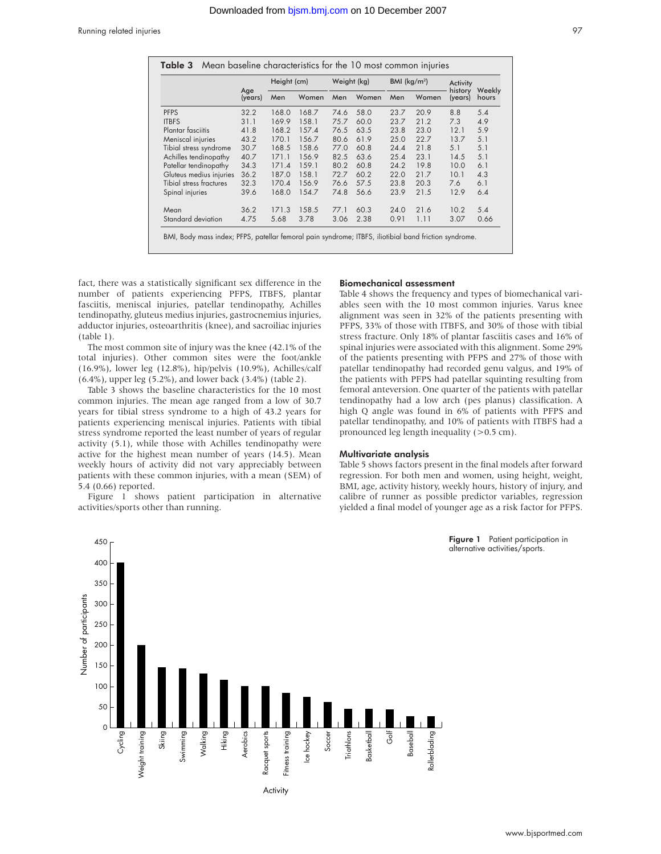Running related injuries 97

|                         | Age<br>(years) | Height (cm) |       | Weight (kg) |       | BMI $(kg/m2)$ |       | Activity           |                 |
|-------------------------|----------------|-------------|-------|-------------|-------|---------------|-------|--------------------|-----------------|
|                         |                | Men         | Women | Men         | Women | Men           | Women | history<br>(years) | Weekly<br>hours |
| <b>PFPS</b>             | 32.2           | 168.0       | 168.7 | 74.6        | 58.0  | 23.7          | 20.9  | 8.8                | 5.4             |
| <b>ITBFS</b>            | 31.1           | 169.9       | 158.1 | 75.7        | 60.0  | 23.7          | 21.2  | 7.3                | 4.9             |
| Plantar fasciitis       | 41.8           | 168.2       | 157.4 | 76.5        | 63.5  | 23.8          | 23.0  | 12.1               | 5.9             |
| Meniscal injuries       | 43.2           | 170.1       | 156.7 | 80.6        | 61.9  | 25.0          | 22.7  | 13.7               | 5.1             |
| Tibial stress syndrome  | 30.7           | 168.5       | 158.6 | 77.0        | 60.8  | 24.4          | 21.8  | 5.1                | 5.1             |
| Achilles tendinopathy   | 40.7           | 171.1       | 156.9 | 82.5        | 63.6  | 25.4          | 23.1  | 14.5               | 5.1             |
| Patellar tendinopathy   | 34.3           | 171.4       | 159.1 | 80.2        | 60.8  | 24.2          | 19.8  | 10.0               | 6.1             |
| Gluteus medius injuries | 36.2           | 187.0       | 158.1 | 72.7        | 60.2  | 22.0          | 21.7  | 10.1               | 4.3             |
| Tibial stress fractures | 32.3           | 170.4       | 156.9 | 76.6        | 57.5  | 23.8          | 20.3  | 7.6                | 6.1             |
| Spinal injuries         | 39.6           | 168.0       | 154.7 | 74.8        | 56.6  | 23.9          | 21.5  | 12.9               | 6.4             |
| Mean                    | 36.2           | 171.3       | 158.5 | 77.1        | 60.3  | 24.0          | 21.6  | 10.2               | 5.4             |
| Standard deviation      | 4.75           | 5.68        | 3.78  | 3.06        | 2.38  | 0.91          | 1.11  | 3.07               | 0.66            |

fact, there was a statistically significant sex difference in the number of patients experiencing PFPS, ITBFS, plantar fasciitis, meniscal injuries, patellar tendinopathy, Achilles tendinopathy, gluteus medius injuries, gastrocnemius injuries, adductor injuries, osteoarthritis (knee), and sacroiliac injuries (table 1).

The most common site of injury was the knee (42.1% of the total injuries). Other common sites were the foot/ankle (16.9%), lower leg (12.8%), hip/pelvis (10.9%), Achilles/calf (6.4%), upper leg (5.2%), and lower back (3.4%) (table 2).

Table 3 shows the baseline characteristics for the 10 most common injuries. The mean age ranged from a low of 30.7 years for tibial stress syndrome to a high of 43.2 years for patients experiencing meniscal injuries. Patients with tibial stress syndrome reported the least number of years of regular activity (5.1), while those with Achilles tendinopathy were active for the highest mean number of years (14.5). Mean weekly hours of activity did not vary appreciably between patients with these common injuries, with a mean (SEM) of 5.4 (0.66) reported.

Figure 1 shows patient participation in alternative activities/sports other than running.



Table 4 shows the frequency and types of biomechanical variables seen with the 10 most common injuries. Varus knee alignment was seen in 32% of the patients presenting with PFPS, 33% of those with ITBFS, and 30% of those with tibial stress fracture. Only 18% of plantar fasciitis cases and 16% of spinal injuries were associated with this alignment. Some 29% of the patients presenting with PFPS and 27% of those with patellar tendinopathy had recorded genu valgus, and 19% of the patients with PFPS had patellar squinting resulting from femoral anteversion. One quarter of the patients with patellar tendinopathy had a low arch (pes planus) classification. A high Q angle was found in 6% of patients with PFPS and patellar tendinopathy, and 10% of patients with ITBFS had a pronounced leg length inequality (>0.5 cm).

#### Multivariate analysis

Table 5 shows factors present in the final models after forward regression. For both men and women, using height, weight, BMI, age, activity history, weekly hours, history of injury, and calibre of runner as possible predictor variables, regression yielded a final model of younger age as a risk factor for PFPS.



Figure 1 Patient participation in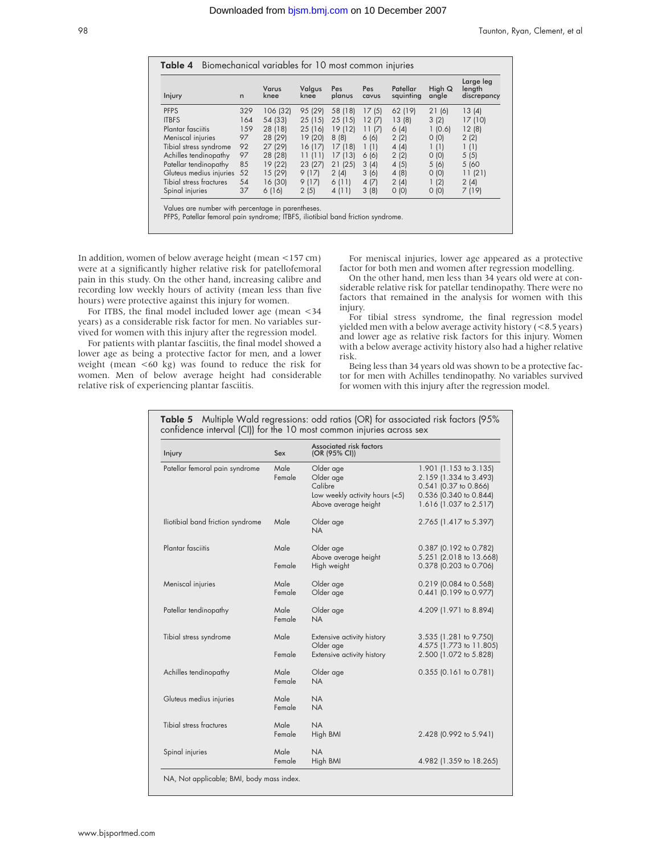| Injury                  | $\mathsf{n}$ | Varus<br>knee | Valgus<br>knee | Pes<br>planus | Pes<br>cavus | Patellar<br>squinting | High Q<br>angle | Large leg<br>length<br>discrepancy |
|-------------------------|--------------|---------------|----------------|---------------|--------------|-----------------------|-----------------|------------------------------------|
| <b>PFPS</b>             | 329          | 106 (32)      | 95 (29)        | 58 (18)       | 17(5)        | 62 (19)               | 21(6)           | 13(4)                              |
| <b>ITBFS</b>            | 164          | 54 (33)       | 25(15)         | 25(15)        | 12(7)        | 13(8)                 | 3(2)            | 17(10)                             |
| Plantar fasciitis       | 159          | 28 (18)       | 25(16)         | 19 (12)       | 11(7)        | 6(4)                  | 1(0.6)          | 12(8)                              |
| Meniscal injuries       | 97           | 28 (29)       | 19 (20)        | 8(8)          | 6(6)         | 2(2)                  | O(0)            | 2(2)                               |
| Tibial stress syndrome  | 92           | 27 (29)       | 16(17)         | 17(18)        | 1(1)         | 4(4)                  | 1(1)            | 1(1)                               |
| Achilles tendinopathy   | 97           | 28 (28)       | 11(11)         | 17(13)        | 6(6)         | 2(2)                  | O(0)            | 5(5)                               |
| Patellar tendinopathy   | 85           | 19 (22)       | 23 (27)        | 21(25)        | 3(4)         | 4(5)                  | 5(6)            | 5 (60                              |
| Gluteus medius injuries | 52           | 15 (29)       | 9(17)          | 2(4)          | 3(6)         | 4(8)                  | O(0)            | 11(21)                             |
| Tibial stress fractures | 54           | 16 (30)       | 9(17)          | 6(11)         | 4 (7)        | 2(4)                  | 1(2)            | 2(4)                               |
| Spinal injuries         | 37           | 6(16)         | 2(5)           | 4 (11)        | 3(8)         | O(0)                  | O(0)            | 7 (19)                             |

PFPS, Patellar femoral pain syndrome; ITBFS, iliotibial band friction syndrome.

In addition, women of below average height (mean <157 cm) were at a significantly higher relative risk for patellofemoral pain in this study. On the other hand, increasing calibre and recording low weekly hours of activity (mean less than five hours) were protective against this injury for women.

For ITBS, the final model included lower age (mean <34 years) as a considerable risk factor for men. No variables survived for women with this injury after the regression model.

For patients with plantar fasciitis, the final model showed a lower age as being a protective factor for men, and a lower weight (mean  $\leq 60$  kg) was found to reduce the risk for women. Men of below average height had considerable relative risk of experiencing plantar fasciitis.

For meniscal injuries, lower age appeared as a protective factor for both men and women after regression modelling.

On the other hand, men less than 34 years old were at considerable relative risk for patellar tendinopathy. There were no factors that remained in the analysis for women with this injury.

For tibial stress syndrome, the final regression model yielded men with a below average activity history (<8.5 years) and lower age as relative risk factors for this injury. Women with a below average activity history also had a higher relative risk.

Being less than 34 years old was shown to be a protective factor for men with Achilles tendinopathy. No variables survived for women with this injury after the regression model.

| Injury                            | Sex            | Associated risk factors<br>(OR (95% CI))                                                    |                                                                                                                               |
|-----------------------------------|----------------|---------------------------------------------------------------------------------------------|-------------------------------------------------------------------------------------------------------------------------------|
| Patellar femoral pain syndrome    | Male<br>Female | Older age<br>Older age<br>Calibre<br>Low weekly activity hours (<5)<br>Above average height | 1.901 (1.153 to 3.135)<br>2.159 (1.334 to 3.493)<br>0.541 (0.37 to 0.866)<br>0.536 (0.340 to 0.844)<br>1.616 (1.037 to 2.517) |
| lliotibial band friction syndrome | Male           | Older age<br><b>NA</b>                                                                      | 2.765 (1.417 to 5.397)                                                                                                        |
| Plantar fasciitis                 | Male<br>Female | Older age<br>Above average height<br>High weight                                            | 0.387 (0.192 to 0.782)<br>5.251 (2.018 to 13.668)<br>0.378 (0.203 to 0.706)                                                   |
| Meniscal injuries                 | Male<br>Female | Older age<br>Older age                                                                      | 0.219 (0.084 to 0.568)<br>0.441 (0.199 to 0.977)                                                                              |
| Patellar tendinopathy             | Male<br>Female | Older age<br><b>NA</b>                                                                      | 4.209 (1.971 to 8.894)                                                                                                        |
| Tibial stress syndrome            | Male<br>Female | Extensive activity history<br>Older age<br>Extensive activity history                       | 3.535 (1.281 to 9.750)<br>4.575 (1.773 to 11.805)<br>2.500 (1.072 to 5.828)                                                   |
| Achilles tendinopathy             | Male<br>Female | Older age<br><b>NA</b>                                                                      | $0.355$ (0.161 to 0.781)                                                                                                      |
| Gluteus medius injuries           | Male<br>Female | <b>NA</b><br><b>NA</b>                                                                      |                                                                                                                               |
| <b>Tibial stress fractures</b>    | Male<br>Female | <b>NA</b><br>High BMI                                                                       | 2.428 (0.992 to 5.941)                                                                                                        |
| Spinal injuries                   | Male<br>Female | <b>NA</b><br>High BMI                                                                       | 4.982 (1.359 to 18.265)                                                                                                       |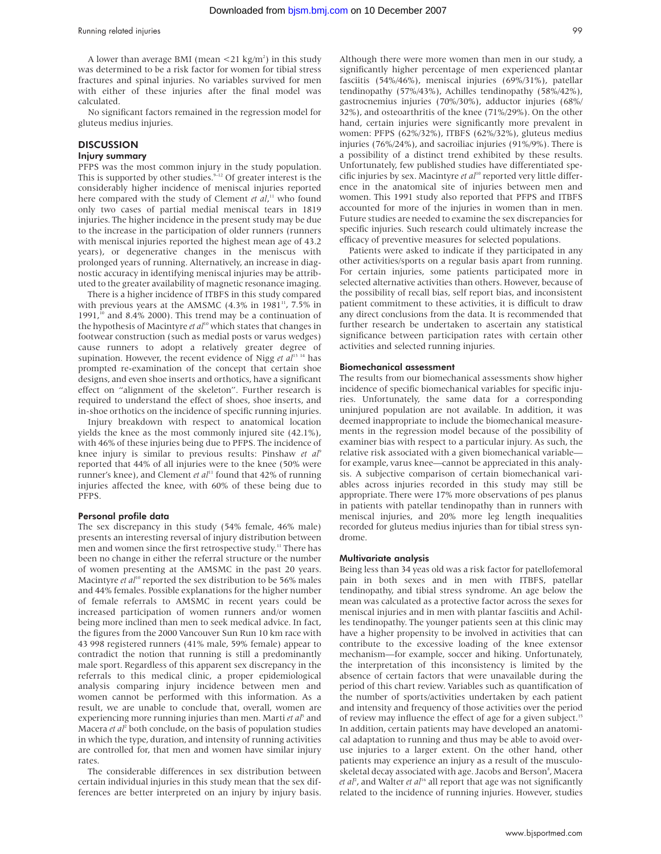Running related injuries 99

A lower than average BMI (mean  $\langle 21 \text{ kg/m}^2 \rangle$  in this study was determined to be a risk factor for women for tibial stress fractures and spinal injuries. No variables survived for men with either of these injuries after the final model was calculated.

No significant factors remained in the regression model for gluteus medius injuries.

#### **DISCUSSION**

### Injury summary

PFPS was the most common injury in the study population. This is supported by other studies.<sup>9-12</sup> Of greater interest is the considerably higher incidence of meniscal injuries reported here compared with the study of Clement *et al*,<sup>11</sup> who found only two cases of partial medial meniscal tears in 1819 injuries. The higher incidence in the present study may be due to the increase in the participation of older runners (runners with meniscal injuries reported the highest mean age of 43.2 years), or degenerative changes in the meniscus with prolonged years of running. Alternatively, an increase in diagnostic accuracy in identifying meniscal injuries may be attributed to the greater availability of magnetic resonance imaging.

There is a higher incidence of ITBFS in this study compared with previous years at the AMSMC  $(4.3\% \text{ in } 1981^{\text{11}}$ ,  $7.5\% \text{ in }$ 1991, $^{10}$  and 8.4% 2000). This trend may be a continuation of the hypothesis of Macintyre *et al*<sup>10</sup> which states that changes in footwear construction (such as medial posts or varus wedges) cause runners to adopt a relatively greater degree of supination. However, the recent evidence of Nigg *et al*<sup>13 14</sup> has prompted re-examination of the concept that certain shoe designs, and even shoe inserts and orthotics, have a significant effect on "alignment of the skeleton". Further research is required to understand the effect of shoes, shoe inserts, and in-shoe orthotics on the incidence of specific running injuries.

Injury breakdown with respect to anatomical location yields the knee as the most commonly injured site (42.1%), with 46% of these injuries being due to PFPS. The incidence of knee injury is similar to previous results: Pinshaw *et al*<sup>9</sup> reported that 44% of all injuries were to the knee (50% were runner's knee), and Clement *et al*<sup>11</sup> found that 42% of running injuries affected the knee, with 60% of these being due to PFPS.

#### Personal profile data

The sex discrepancy in this study (54% female, 46% male) presents an interesting reversal of injury distribution between men and women since the first retrospective study.<sup>11</sup> There has been no change in either the referral structure or the number of women presenting at the AMSMC in the past 20 years. Macintyre *et al*<sup>10</sup> reported the sex distribution to be 56% males and 44% females. Possible explanations for the higher number of female referrals to AMSMC in recent years could be increased participation of women runners and/or women being more inclined than men to seek medical advice. In fact, the figures from the 2000 Vancouver Sun Run 10 km race with 43 998 registered runners (41% male, 59% female) appear to contradict the notion that running is still a predominantly male sport. Regardless of this apparent sex discrepancy in the referrals to this medical clinic, a proper epidemiological analysis comparing injury incidence between men and women cannot be performed with this information. As a result, we are unable to conclude that, overall, women are experiencing more running injuries than men. Marti *et al*<sup>5</sup> and Macera *et al*<sup>2</sup> both conclude, on the basis of population studies in which the type, duration, and intensity of running activities are controlled for, that men and women have similar injury rates.

The considerable differences in sex distribution between certain individual injuries in this study mean that the sex differences are better interpreted on an injury by injury basis.

Although there were more women than men in our study, a significantly higher percentage of men experienced plantar fasciitis (54%/46%), meniscal injuries (69%/31%), patellar tendinopathy (57%/43%), Achilles tendinopathy (58%/42%), gastrocnemius injuries (70%/30%), adductor injuries (68%/ 32%), and osteoarthritis of the knee (71%/29%). On the other hand, certain injuries were significantly more prevalent in women: PFPS (62%/32%), ITBFS (62%/32%), gluteus medius injuries (76%/24%), and sacroiliac injuries (91%/9%). There is a possibility of a distinct trend exhibited by these results. Unfortunately, few published studies have differentiated specific injuries by sex. Macintyre et al<sup>10</sup> reported very little difference in the anatomical site of injuries between men and women. This 1991 study also reported that PFPS and ITBFS accounted for more of the injuries in women than in men. Future studies are needed to examine the sex discrepancies for specific injuries. Such research could ultimately increase the efficacy of preventive measures for selected populations.

Patients were asked to indicate if they participated in any other activities/sports on a regular basis apart from running. For certain injuries, some patients participated more in selected alternative activities than others. However, because of the possibility of recall bias, self report bias, and inconsistent patient commitment to these activities, it is difficult to draw any direct conclusions from the data. It is recommended that further research be undertaken to ascertain any statistical significance between participation rates with certain other activities and selected running injuries.

#### Biomechanical assessment

The results from our biomechanical assessments show higher incidence of specific biomechanical variables for specific injuries. Unfortunately, the same data for a corresponding uninjured population are not available. In addition, it was deemed inappropriate to include the biomechanical measurements in the regression model because of the possibility of examiner bias with respect to a particular injury. As such, the relative risk associated with a given biomechanical variable for example, varus knee—cannot be appreciated in this analysis. A subjective comparison of certain biomechanical variables across injuries recorded in this study may still be appropriate. There were 17% more observations of pes planus in patients with patellar tendinopathy than in runners with meniscal injuries, and 20% more leg length inequalities recorded for gluteus medius injuries than for tibial stress syndrome.

## Multivariate analysis

Being less than 34 yeas old was a risk factor for patellofemoral pain in both sexes and in men with ITBFS, patellar tendinopathy, and tibial stress syndrome. An age below the mean was calculated as a protective factor across the sexes for meniscal injuries and in men with plantar fasciitis and Achilles tendinopathy. The younger patients seen at this clinic may have a higher propensity to be involved in activities that can contribute to the excessive loading of the knee extensor mechanism—for example, soccer and hiking. Unfortunately, the interpretation of this inconsistency is limited by the absence of certain factors that were unavailable during the period of this chart review. Variables such as quantification of the number of sports/activities undertaken by each patient and intensity and frequency of those activities over the period of review may influence the effect of age for a given subject.<sup>15</sup> In addition, certain patients may have developed an anatomical adaptation to running and thus may be able to avoid overuse injuries to a larger extent. On the other hand, other patients may experience an injury as a result of the musculoskeletal decay associated with age. Jacobs and Berson<sup>8</sup>, Macera *et al*<sup>2</sup> , and Walter *et al*<sup>16</sup> all report that age was not significantly related to the incidence of running injuries. However, studies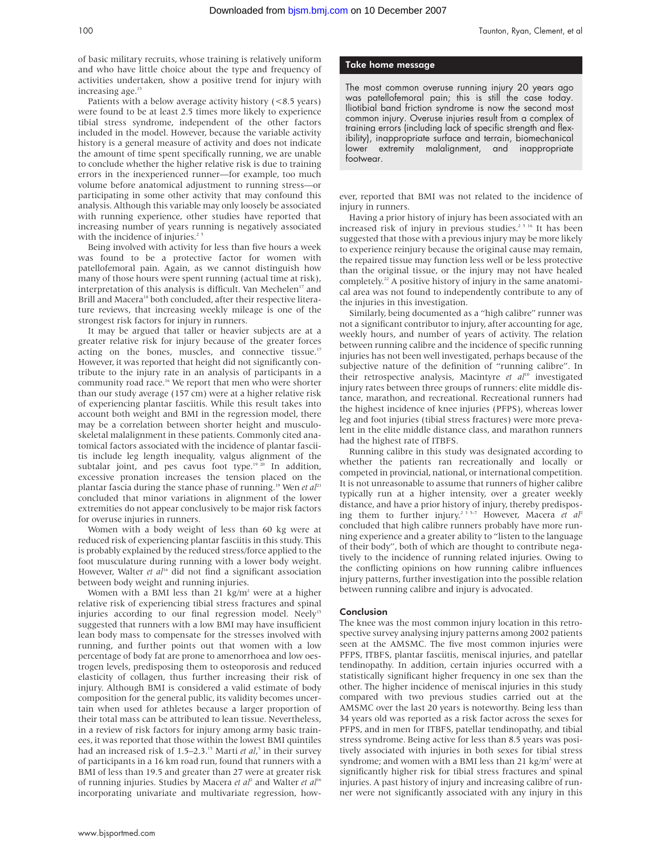100 Taunton, Ryan, Clement, et al

of basic military recruits, whose training is relatively uniform and who have little choice about the type and frequency of activities undertaken, show a positive trend for injury with increasing age.<sup>15</sup>

Patients with a below average activity history (<8.5 years) were found to be at least 2.5 times more likely to experience tibial stress syndrome, independent of the other factors included in the model. However, because the variable activity history is a general measure of activity and does not indicate the amount of time spent specifically running, we are unable to conclude whether the higher relative risk is due to training errors in the inexperienced runner—for example, too much volume before anatomical adjustment to running stress—or participating in some other activity that may confound this analysis. Although this variable may only loosely be associated with running experience, other studies have reported that increasing number of years running is negatively associated with the incidence of injuries.<sup>2</sup>

Being involved with activity for less than five hours a week was found to be a protective factor for women with patellofemoral pain. Again, as we cannot distinguish how many of those hours were spent running (actual time at risk), interpretation of this analysis is difficult. Van Mechelen<sup>17</sup> and Brill and Macera<sup>18</sup> both concluded, after their respective literature reviews, that increasing weekly mileage is one of the strongest risk factors for injury in runners.

It may be argued that taller or heavier subjects are at a greater relative risk for injury because of the greater forces acting on the bones, muscles, and connective tissue.<sup>17</sup> However, it was reported that height did not significantly contribute to the injury rate in an analysis of participants in a community road race.<sup>16</sup> We report that men who were shorter than our study average (157 cm) were at a higher relative risk of experiencing plantar fasciitis. While this result takes into account both weight and BMI in the regression model, there may be a correlation between shorter height and musculoskeletal malalignment in these patients. Commonly cited anatomical factors associated with the incidence of plantar fasciitis include leg length inequality, valgus alignment of the subtalar joint, and pes cavus foot type.<sup>19 20</sup> In addition, excessive pronation increases the tension placed on the plantar fascia during the stance phase of running.<sup>19</sup> Wen *et al*<sup>21</sup> concluded that minor variations in alignment of the lower extremities do not appear conclusively to be major risk factors for overuse injuries in runners.

Women with a body weight of less than 60 kg were at reduced risk of experiencing plantar fasciitis in this study. This is probably explained by the reduced stress/force applied to the foot musculature during running with a lower body weight. However, Walter *et al*<sup>16</sup> did not find a significant association between body weight and running injuries.

Women with a BMI less than 21 kg/m<sup>2</sup> were at a higher relative risk of experiencing tibial stress fractures and spinal injuries according to our final regression model. Neely<sup>15</sup> suggested that runners with a low BMI may have insufficient lean body mass to compensate for the stresses involved with running, and further points out that women with a low percentage of body fat are prone to amenorrhoea and low oestrogen levels, predisposing them to osteoporosis and reduced elasticity of collagen, thus further increasing their risk of injury. Although BMI is considered a valid estimate of body composition for the general public, its validity becomes uncertain when used for athletes because a larger proportion of their total mass can be attributed to lean tissue. Nevertheless, in a review of risk factors for injury among army basic trainees, it was reported that those within the lowest BMI quintiles had an increased risk of 1.5–2.3.<sup>15</sup> Marti *et al*,<sup>5</sup> in their survey of participants in a 16 km road run, found that runners with a BMI of less than 19.5 and greater than 27 were at greater risk of running injuries. Studies by Macera *et al<sup>2</sup>* and Walter *et al<sup>16</sup>* incorporating univariate and multivariate regression, how-

#### Take home message

The most common overuse running injury 20 years ago was patellofemoral pain; this is still the case today. Iliotibial band friction syndrome is now the second most common injury. Overuse injuries result from a complex of training errors (including lack of specific strength and flexibility), inappropriate surface and terrain, biomechanical lower extremity malalignment, and inappropriate footwear.

ever, reported that BMI was not related to the incidence of injury in runners.

Having a prior history of injury has been associated with an increased risk of injury in previous studies.<sup>2 5 16</sup> It has been suggested that those with a previous injury may be more likely to experience reinjury because the original cause may remain, the repaired tissue may function less well or be less protective than the original tissue, or the injury may not have healed completely.<sup>22</sup> A positive history of injury in the same anatomical area was not found to independently contribute to any of the injuries in this investigation.

Similarly, being documented as a "high calibre" runner was not a significant contributor to injury, after accounting for age, weekly hours, and number of years of activity. The relation between running calibre and the incidence of specific running injuries has not been well investigated, perhaps because of the subjective nature of the definition of "running calibre". In their retrospective analysis, Macintyre *et al*<sup>10</sup> investigated injury rates between three groups of runners: elite middle distance, marathon, and recreational. Recreational runners had the highest incidence of knee injuries (PFPS), whereas lower leg and foot injuries (tibial stress fractures) were more prevalent in the elite middle distance class, and marathon runners had the highest rate of ITBFS.

Running calibre in this study was designated according to whether the patients ran recreationally and locally or competed in provincial, national, or international competition. It is not unreasonable to assume that runners of higher calibre typically run at a higher intensity, over a greater weekly distance, and have a prior history of injury, thereby predisposing them to further injury.<sup>2 3 5-7</sup> However, Macera *et al<sup>2</sup>* concluded that high calibre runners probably have more running experience and a greater ability to "listen to the language of their body", both of which are thought to contribute negatively to the incidence of running related injuries. Owing to the conflicting opinions on how running calibre influences injury patterns, further investigation into the possible relation between running calibre and injury is advocated.

#### Conclusion

The knee was the most common injury location in this retrospective survey analysing injury patterns among 2002 patients seen at the AMSMC. The five most common injuries were PFPS, ITBFS, plantar fasciitis, meniscal injuries, and patellar tendinopathy. In addition, certain injuries occurred with a statistically significant higher frequency in one sex than the other. The higher incidence of meniscal injuries in this study compared with two previous studies carried out at the AMSMC over the last 20 years is noteworthy. Being less than 34 years old was reported as a risk factor across the sexes for PFPS, and in men for ITBFS, patellar tendinopathy, and tibial stress syndrome. Being active for less than 8.5 years was positively associated with injuries in both sexes for tibial stress syndrome; and women with a BMI less than 21 kg/m<sup>2</sup> were at significantly higher risk for tibial stress fractures and spinal injuries. A past history of injury and increasing calibre of runner were not significantly associated with any injury in this